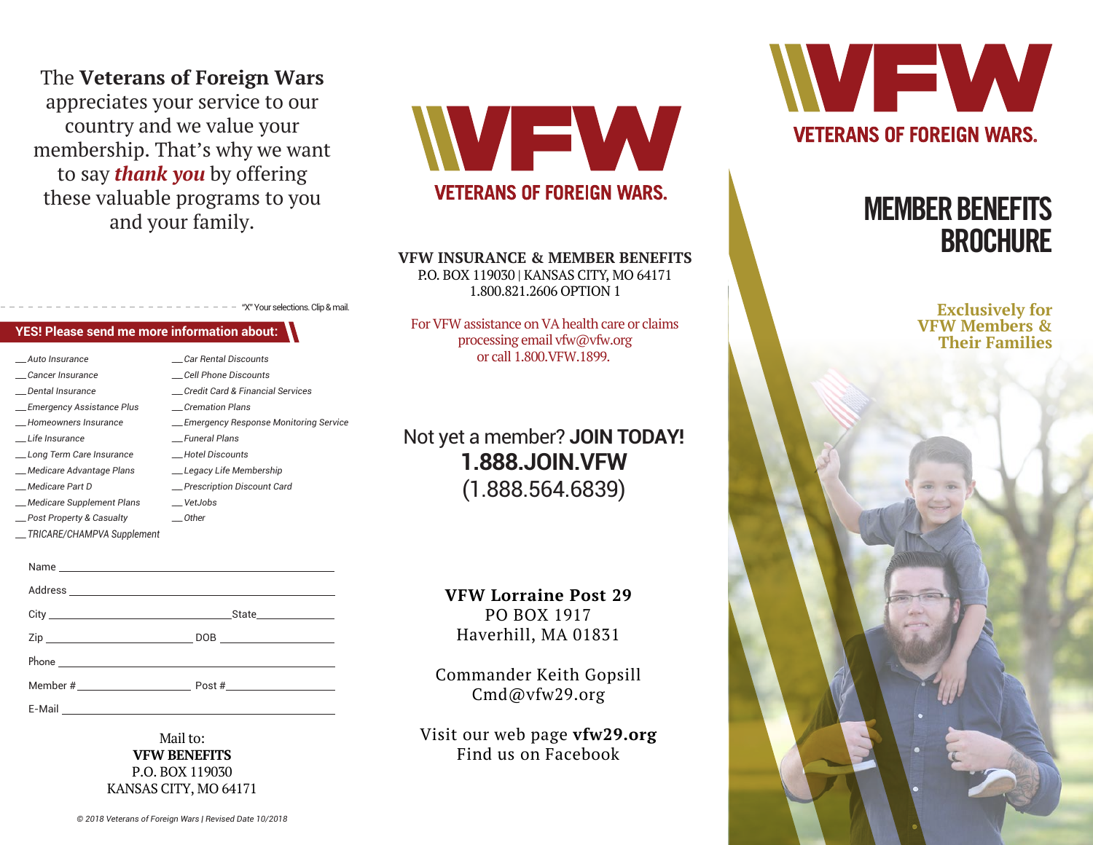## The **Veterans of Foreign Wars** appreciates your service to our country and we value your membership. That's why we want to say *thank you* by offering these valuable programs to you and your family.

**YES! Please send me more information about:**

*\_\_\_ Car Rental Discounts \_\_\_ Cell Phone Discounts \_\_\_ Credit Card & Financial Services*

*\_\_\_ Cremation Plans*

*\_\_\_ Funeral Plans \_\_\_ Hotel Discounts \_\_\_ Legacy Life Membership \_\_\_ Prescription Discount Card*

*\_\_\_ VetJobs \_\_\_ Other*

*\_\_\_ Emergency Response Monitoring Service*

"X" Your selections. Clip & mail.

*\_\_\_ Auto Insurance \_\_\_ Cancer Insurance \_\_\_ Dental Insurance \_\_\_ Emergency Assistance Plus \_\_\_ Homeowners Insurance \_\_\_ Life Insurance*

*\_\_\_ Long Term Care Insurance \_\_\_ Medicare Advantage Plans \_\_\_ Medicare Part D*

*\_\_\_ Medicare Supplement Plans \_\_\_ Post Property & Casualty \_\_\_ TRICARE/CHAMPVA Supplement*



## **VETERANS OF FOREIGN WARS.**

#### **VFW INSURANCE & MEMBER BENEFITS**

P.O. BOX 119030 | KANSAS CITY, MO 64171 1.800.821.2606 OPTION 1

For VFW assistance on VA health care or claims processing email vfw@vfw.org or call 1.800.VFW.1899.

Not yet a member? **JOIN TODAY! 1.888.JOIN.VFW** (1.888.564.6839)

> **VFW Lorraine Post 29** PO BOX 1917 Haverhill, MA 01831

State City DOB Zip Post # Member # Name and the state of the state of the state of the state of the state of the state of the state of the state of the state of the state of the state of the state of the state of the state of the state of the state of the s Address and the contract of the contract of the contract of the contract of the contract of the contract of the contract of the contract of the contract of the contract of the contract of the contract of the contract of th Phone **Phone** E-Mail

> Mail to: **VFW BENEFITS** P.O. BOX 119030 KANSAS CITY, MO 64171

Commander Keith Gopsill Cmd@vfw29.org

> Visit our web page **vfw29.org** Find us on Facebook



# MEMBER BENEFITS **BROCHURE**

**Exclusively for VFW Members & Their Families**